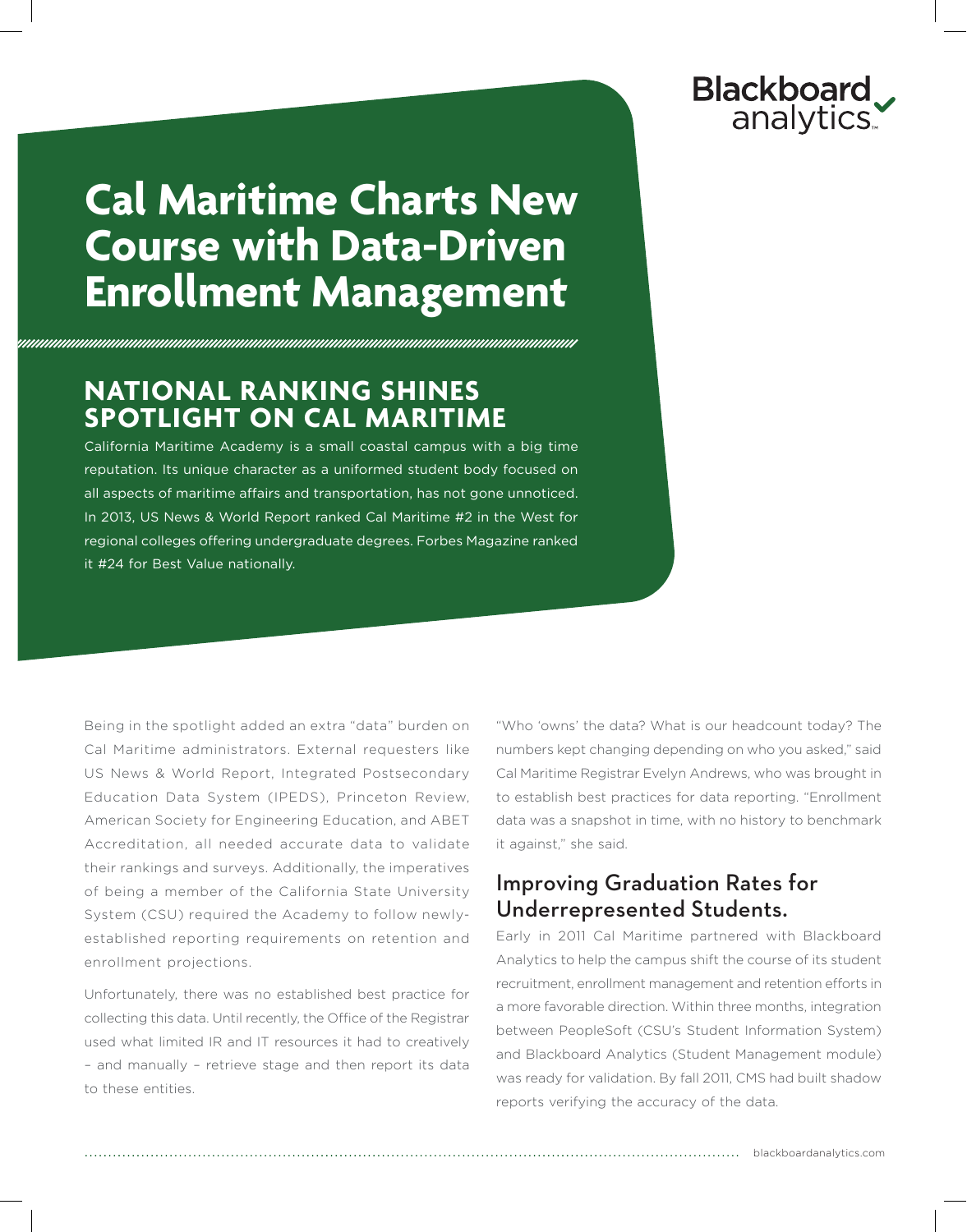# **Blackboard** analytics.

# **Cal Maritime Charts New Course with Data-Driven Enrollment Management**

## **National Ranking Shines Spotlight on Cal Maritime**

California Maritime Academy is a small coastal campus with a big time reputation. Its unique character as a uniformed student body focused on all aspects of maritime affairs and transportation, has not gone unnoticed. In 2013, US News & World Report ranked Cal Maritime #2 in the West for regional colleges offering undergraduate degrees. Forbes Magazine ranked it #24 for Best Value nationally.

Being in the spotlight added an extra "data" burden on Cal Maritime administrators. External requesters like US News & World Report, Integrated Postsecondary Education Data System (IPEDS), Princeton Review, American Society for Engineering Education, and ABET Accreditation, all needed accurate data to validate their rankings and surveys. Additionally, the imperatives of being a member of the California State University System (CSU) required the Academy to follow newlyestablished reporting requirements on retention and enrollment projections.

Unfortunately, there was no established best practice for collecting this data. Until recently, the Office of the Registrar used what limited IR and IT resources it had to creatively – and manually – retrieve stage and then report its data to these entities.

"Who 'owns' the data? What is our headcount today? The numbers kept changing depending on who you asked," said Cal Maritime Registrar Evelyn Andrews, who was brought in to establish best practices for data reporting. "Enrollment data was a snapshot in time, with no history to benchmark it against," she said.

### Improving Graduation Rates for Underrepresented Students.

Early in 2011 Cal Maritime partnered with Blackboard Analytics to help the campus shift the course of its student recruitment, enrollment management and retention efforts in a more favorable direction. Within three months, integration between PeopleSoft (CSU's Student Information System) and Blackboard Analytics (Student Management module) was ready for validation. By fall 2011, CMS had built shadow reports verifying the accuracy of the data.